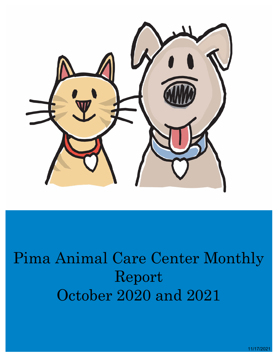

# Pima Animal Care Center Monthly Report October 2020 and 2021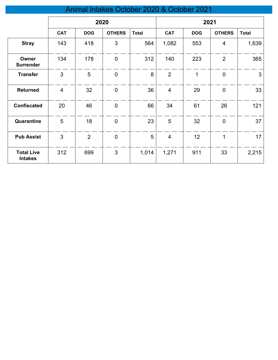## Animal Intakes October 2020 & October 2021

|                                     | 2020           |                |               |              | 2021           |            |                |              |
|-------------------------------------|----------------|----------------|---------------|--------------|----------------|------------|----------------|--------------|
|                                     | <b>CAT</b>     | <b>DOG</b>     | <b>OTHERS</b> | <b>Total</b> | <b>CAT</b>     | <b>DOG</b> | <b>OTHERS</b>  | <b>Total</b> |
| <b>Stray</b>                        | 143            | 418            | 3             | 564          | 1,082          | 553        | 4              | 1,639        |
| Owner<br><b>Surrender</b>           | 134            | 178            | $\mathbf 0$   | 312          | 140            | 223        | $\overline{2}$ | 365          |
| <b>Transfer</b>                     | 3              | 5              | $\mathbf 0$   | 8            | $\overline{2}$ | 1          | $\mathbf 0$    | 3            |
| <b>Returned</b>                     | $\overline{4}$ | 32             | $\mathbf 0$   | 36           | $\overline{4}$ | 29         | $\mathbf 0$    | 33           |
| <b>Confiscated</b>                  | 20             | 46             | $\pmb{0}$     | 66           | 34             | 61         | 26             | 121          |
| Quarantine                          | 5              | 18             | $\mathbf 0$   | 23           | 5              | 32         | $\mathbf 0$    | 37           |
| <b>Pub Assist</b>                   | 3              | $\overline{2}$ | $\mathbf 0$   | 5            | $\overline{4}$ | 12         | 1              | 17           |
| <b>Total Live</b><br><b>Intakes</b> | 312            | 699            | 3             | 1,014        | 1,271          | 911        | 33             | 2,215        |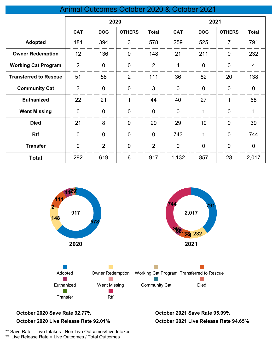## Animal Outcomes October 2020 & October 2021

|                              | 2020           |                |                 | 2021           |                |                |                |                |
|------------------------------|----------------|----------------|-----------------|----------------|----------------|----------------|----------------|----------------|
|                              | <b>CAT</b>     | <b>DOG</b>     | <b>OTHERS</b>   | <b>Total</b>   | <b>CAT</b>     | <b>DOG</b>     | <b>OTHERS</b>  | <b>Total</b>   |
| <b>Adopted</b>               | 181            | 394            | 3               | 578            | 259            | 525            | 7              | 791            |
| <b>Owner Redemption</b>      | 12             | 136            | $\overline{0}$  | 148            | 21             | 211            | $\overline{0}$ | 232            |
| <b>Working Cat Program</b>   | $\overline{2}$ | $\overline{0}$ | $\overline{0}$  | $\overline{2}$ | $\overline{4}$ | $\overline{0}$ | $\overline{0}$ | $\overline{4}$ |
| <b>Transferred to Rescue</b> | 51             | 58             | $\overline{2}$  | 111            | 36             | 82             | 20             | 138            |
| <b>Community Cat</b>         | 3              | $\overline{0}$ | $\overline{0}$  | 3              | $\mathbf 0$    | $\overline{0}$ | $\overline{0}$ | $\overline{0}$ |
| <b>Euthanized</b>            | 22             | 21             | 1               | 44             | 40             | 27             | 1              | 68             |
| <b>Went Missing</b>          | $\mathbf 0$    | $\overline{0}$ | $\overline{0}$  | $\overline{0}$ | $\mathbf 0$    | 1              | $\overline{0}$ | 1              |
| <b>Died</b>                  | 21             | 8              | $\overline{0}$  | 29             | 29             | 10             | $\overline{0}$ | 39             |
| <b>Rtf</b>                   | $\mathbf 0$    | $\overline{0}$ | $\overline{0}$  | $\overline{0}$ | 743            | 1              | $\mathbf 0$    | 744            |
| <b>Transfer</b>              | $\overline{0}$ | $\overline{2}$ | $\overline{0}$  | $\overline{2}$ | $\overline{0}$ | $\overline{0}$ | $\overline{0}$ | $\overline{0}$ |
| <b>Total</b>                 | 292            | 619            | $6\phantom{1}6$ | 917            | 1,132          | 857            | 28             | 2,017          |



#### **October 2020 Save Rate 92.77% October 2021 Save Rate 95.09% October 2020 Live Release Rate 92.01%**

**October 2021 Live Release Rate 94.65%**

\*\* Save Rate = Live Intakes - Non-Live Outcomes/Live Intakes

\*\* Live Release Rate = Live Outcomes / Total Outcomes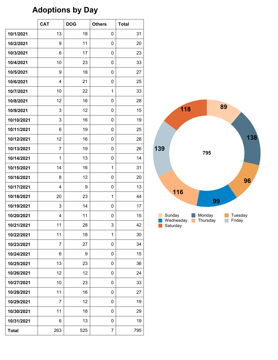# **Adoptions by Day**

|              | <b>CAT</b>     | <b>DOG</b> | <b>Others</b> | <b>Total</b> |
|--------------|----------------|------------|---------------|--------------|
| 10/1/2021    | 13             | 18         | 0             | 31           |
| 10/2/2021    | 9              | 11         | 0             | 20           |
| 10/3/2021    | 6              | 17         | 0             | 23           |
| 10/4/2021    | 10             | 23         | 0             | 33           |
| 10/5/2021    | 9              | 18         | 0             | 27           |
| 10/6/2021    | $\overline{4}$ | 21         | 0             | 25           |
| 10/7/2021    | 10             | 22         | $\mathbf{1}$  | 33           |
| 10/8/2021    | 12             | 16         | 0             | 28           |
| 10/9/2021    | 3              | 12         | 0             | 15           |
| 10/10/2021   | 3              | 16         | 0             | 19           |
| 10/11/2021   | 6              | 19         | 0             | 25           |
| 10/12/2021   | 12             | 16         | 0             | 28           |
| 10/13/2021   | 7              | 19         | 0             | 26           |
| 10/14/2021   | 1              | 13         | 0             | 14           |
| 10/15/2021   | 14             | 16         | $\mathbf{1}$  | 31           |
| 10/16/2021   | 8              | 12         | 0             | 20           |
| 10/17/2021   | 4              | 9          | 0             | 13           |
| 10/18/2021   | 20             | 23         | 1             | 44           |
| 10/19/2021   | 3              | 14         | 0             | 17           |
| 10/20/2021   | 4              | 11         | 0             | 15           |
| 10/21/2021   | 11             | 28         | 3             | 42           |
| 10/22/2021   | 11             | 18         | 1             | 30           |
| 10/23/2021   | 7              | 27         | 0             | 34           |
| 10/24/2021   | 6              | 9          | 0             | 15           |
| 10/25/2021   | 13             | 23         | 0             | 36           |
| 10/26/2021   | 12             | 12         | 0             | 24           |
| 10/27/2021   | 10             | 23         | 0             | 33           |
| 10/28/2021   | 11             | 16         | 0             | 27           |
| 10/29/2021   | 7              | 12         | 0             | 19           |
| 10/30/2021   | 11             | 18         | 0             | 29           |
| 10/31/2021   | 6              | 13         | 0             | 19           |
| <b>Total</b> | 263            | 525        | 7             | 795          |

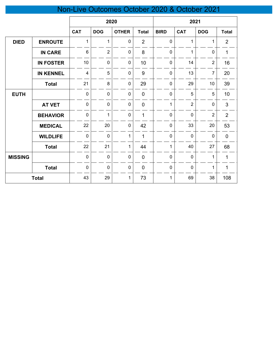# Non-Live Outcomes October 2020 & October 2021

|                |                  | 2020                    |                |              | 2021           |              |                |                |                |
|----------------|------------------|-------------------------|----------------|--------------|----------------|--------------|----------------|----------------|----------------|
|                |                  | <b>CAT</b>              | <b>DOG</b>     | <b>OTHER</b> | <b>Total</b>   | <b>BIRD</b>  | <b>CAT</b>     | <b>DOG</b>     | <b>Total</b>   |
| <b>DIED</b>    | <b>ENROUTE</b>   | 1                       | 1              | $\mathbf 0$  | $\overline{2}$ | 0            | 1              | 1              | $\overline{2}$ |
|                | <b>IN CARE</b>   | $6\phantom{1}$          | $\overline{2}$ | $\pmb{0}$    | 8              | 0            | 1              | $\mathbf 0$    | $\mathbf{1}$   |
|                | <b>IN FOSTER</b> | $10$                    | $\mathbf 0$    | $\pmb{0}$    | 10             | $\mathbf 0$  | 14             | $\sqrt{2}$     | 16             |
|                | <b>IN KENNEL</b> | $\overline{\mathbf{4}}$ | 5              | $\pmb{0}$    | 9              | $\mathbf 0$  | 13             | $\overline{7}$ | 20             |
|                | <b>Total</b>     | 21                      | 8              | $\pmb{0}$    | 29             | $\mathbf 0$  | 29             | 10             | 39             |
| <b>EUTH</b>    |                  | $\mathbf 0$             | $\mathbf 0$    | $\pmb{0}$    | $\mathbf 0$    | $\mathbf 0$  | 5              | 5              | 10             |
|                | <b>AT VET</b>    | $\pmb{0}$               | $\mathbf 0$    | $\mathbf 0$  | $\mathbf 0$    | $\mathbf{1}$ | $\overline{2}$ | $\pmb{0}$      | 3              |
|                | <b>BEHAVIOR</b>  | $\mathbf 0$             | $\mathbf 1$    | $\pmb{0}$    | 1              | $\pmb{0}$    | $\mathbf 0$    | $\sqrt{2}$     | $\overline{2}$ |
|                | <b>MEDICAL</b>   | 22                      | 20             | $\pmb{0}$    | 42             | $\mathbf 0$  | 33             | 20             | 53             |
|                | <b>WILDLIFE</b>  | $\mathbf 0$             | $\mathbf 0$    | 1            | 1              | $\mathbf 0$  | $\mathbf 0$    | $\pmb{0}$      | $\mathbf 0$    |
|                | <b>Total</b>     | 22                      | 21             | $\mathbf{1}$ | 44             | $\mathbf{1}$ | 40             | 27             | 68             |
| <b>MISSING</b> |                  | $\boldsymbol{0}$        | $\mathbf 0$    | $\pmb{0}$    | $\mathbf 0$    | 0            | $\mathbf 0$    | 1              | $\mathbf{1}$   |
|                | <b>Total</b>     | $\boldsymbol{0}$        | $\mathbf 0$    | $\pmb{0}$    | $\mathbf 0$    | $\pmb{0}$    | $\pmb{0}$      | 1              | $\mathbf 1$    |
|                | <b>Total</b>     | 43                      | 29             | $\mathbf 1$  | 73             | 1            | 69             | 38             | 108            |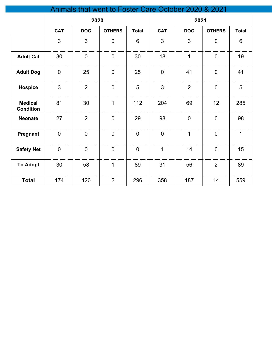| Animals that went to Foster Care October 2020 & 2021 |                |                |                |                |                |                |                |                |  |
|------------------------------------------------------|----------------|----------------|----------------|----------------|----------------|----------------|----------------|----------------|--|
|                                                      |                | 2020           |                |                |                | 2021           |                |                |  |
|                                                      | <b>CAT</b>     | <b>DOG</b>     | <b>OTHERS</b>  | <b>Total</b>   | <b>CAT</b>     | <b>DOG</b>     | <b>OTHERS</b>  | <b>Total</b>   |  |
|                                                      | 3              | 3              | $\mathbf 0$    | 6              | 3              | 3              | $\overline{0}$ | $6\phantom{1}$ |  |
| <b>Adult Cat</b>                                     | 30             | $\overline{0}$ | $\overline{0}$ | 30             | 18             | $\mathbf{1}$   | $\overline{0}$ | 19             |  |
| <b>Adult Dog</b>                                     | $\overline{0}$ | 25             | $\mathbf 0$    | 25             | $\pmb{0}$      | 41             | $\overline{0}$ | 41             |  |
| <b>Hospice</b>                                       | $\overline{3}$ | $\overline{2}$ | $\overline{0}$ | 5              | $\overline{3}$ | $\overline{2}$ | $\overline{0}$ | 5              |  |
| <b>Medical</b><br><b>Condition</b>                   | 81             | 30             | $\mathbf{1}$   | 112            | 204            | 69             | 12             | 285            |  |
| <b>Neonate</b>                                       | 27             | $\overline{2}$ | $\overline{0}$ | 29             | 98             | $\overline{0}$ | $\overline{0}$ | 98             |  |
| Pregnant                                             | $\overline{0}$ | $\mathbf 0$    | $\overline{0}$ | $\mathbf 0$    | $\pmb{0}$      | $\mathbf{1}$   | $\overline{0}$ | $\mathbf 1$    |  |
| <b>Safety Net</b>                                    | $\mathbf 0$    | $\mathbf 0$    | $\mathbf 0$    | $\overline{0}$ | $\mathbf{1}$   | 14             | $\mathbf 0$    | 15             |  |
| <b>To Adopt</b>                                      | 30             | 58             | $\mathbf{1}$   | 89             | 31             | 56             | $\overline{2}$ | 89             |  |
| <b>Total</b>                                         | 174            | 120            | $\overline{2}$ | 296            | 358            | 187            | 14             | 559            |  |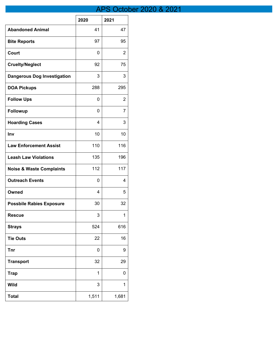## APS October 2020 & 2021

|                                     | 2020  | 2021  |
|-------------------------------------|-------|-------|
| <b>Abandoned Animal</b>             | 41    | 47    |
| <b>Bite Reports</b>                 | 97    | 95    |
| Court                               | 0     | 2     |
| <b>Cruelty/Neglect</b>              | 92    | 75    |
| <b>Dangerous Dog Investigation</b>  | 3     | 3     |
| <b>DOA Pickups</b>                  | 288   | 295   |
| <b>Follow Ups</b>                   | 0     | 2     |
| <b>Followup</b>                     | 0     | 7     |
| <b>Hoarding Cases</b>               | 4     | 3     |
| Inv                                 | 10    | 10    |
| <b>Law Enforcement Assist</b>       | 110   | 116   |
| <b>Leash Law Violations</b>         | 135   | 196   |
| <b>Noise &amp; Waste Complaints</b> | 112   | 117   |
| <b>Outreach Events</b>              | 0     | 4     |
| Owned                               | 4     | 5     |
| <b>Possbile Rabies Exposure</b>     | 30    | 32    |
| <b>Rescue</b>                       | 3     | 1     |
| <b>Strays</b>                       | 524   | 616   |
| <b>Tie Outs</b>                     | 22    | 16    |
| <b>Tnr</b>                          | 0     | 9     |
| <b>Transport</b>                    | 32    | 29    |
| <b>Trap</b>                         | 1     | 0     |
| <b>Wild</b>                         | 3     | 1     |
| <b>Total</b>                        | 1,511 | 1,681 |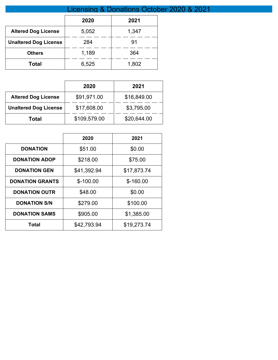|                              | Licensing & Donations October 2020 & 2021 |       |  |  |  |
|------------------------------|-------------------------------------------|-------|--|--|--|
|                              | 2020                                      | 2021  |  |  |  |
| <b>Altered Dog License</b>   | 5,052                                     | 1,347 |  |  |  |
| <b>Unaltered Dog License</b> | 284                                       | 91    |  |  |  |
| <b>Others</b>                | 1,189                                     | 364   |  |  |  |
| <b>Total</b>                 | 6,525                                     | 1,802 |  |  |  |

|                              | 2020         | 2021        |
|------------------------------|--------------|-------------|
| <b>Altered Dog License</b>   | \$91,971.00  | \$16,849.00 |
| <b>Unaltered Dog License</b> | \$17,608.00  | \$3,795.00  |
| Total                        | \$109,579.00 | \$20,644.00 |

|                        | 2020        | 2021        |
|------------------------|-------------|-------------|
| <b>DONATION</b>        | \$51.00     | \$0.00      |
| <b>DONATION ADOP</b>   | \$218.00    | \$75.00     |
| <b>DONATION GEN</b>    | \$41,392.94 | \$17,873.74 |
| <b>DONATION GRANTS</b> | $$-100.00$  | $$-160.00$  |
| <b>DONATION OUTR</b>   | \$48.00     | \$0.00      |
| <b>DONATION S/N</b>    | \$279.00    | \$100.00    |
| <b>DONATION SAMS</b>   | \$905.00    | \$1,385.00  |
| Total                  | \$42,793.94 | \$19,273.74 |